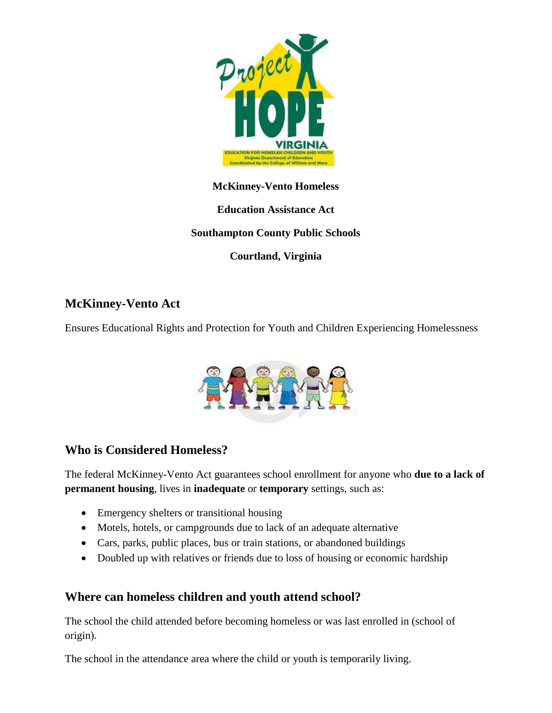

#### **McKinney-Vento Homeless**

**Education Assistance Act**

**Southampton County Public Schools**

**Courtland, Virginia**

# **McKinney-Vento Act**

Ensures Educational Rights and Protection for Youth and Children Experiencing Homelessness



#### **Who is Considered Homeless?**

The federal McKinney-Vento Act guarantees school enrollment for anyone who **due to a lack of permanent housing**, lives in **inadequate** or **temporary** settings, such as:

- Emergency shelters or transitional housing
- Motels, hotels, or campgrounds due to lack of an adequate alternative
- Cars, parks, public places, bus or train stations, or abandoned buildings
- Doubled up with relatives or friends due to loss of housing or economic hardship

#### **Where can homeless children and youth attend school?**

The school the child attended before becoming homeless or was last enrolled in (school of origin).

The school in the attendance area where the child or youth is temporarily living.